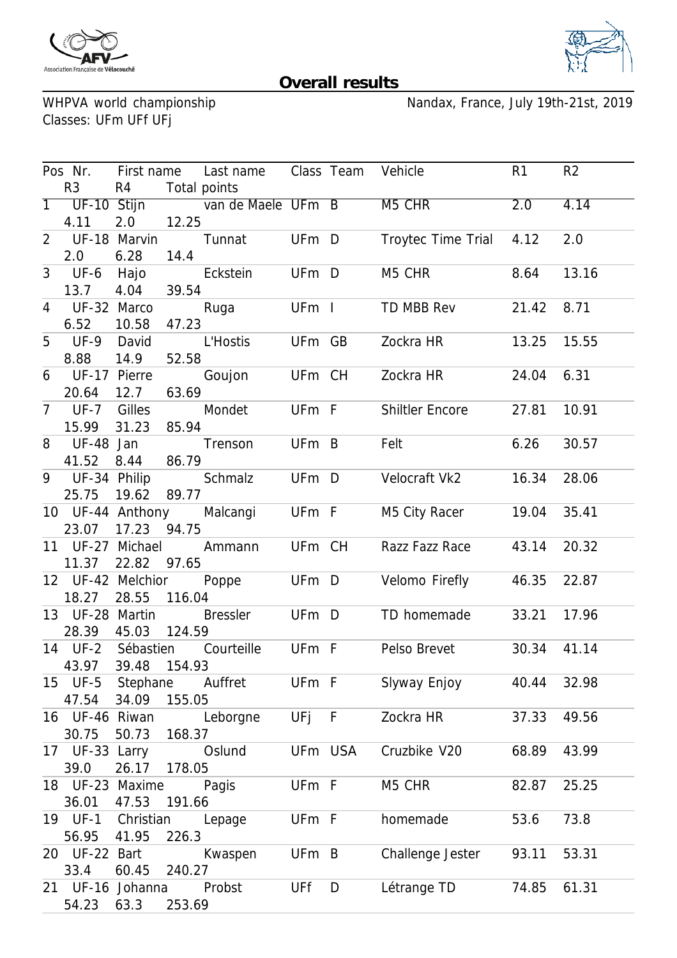



## **Overall results**

WHPVA world championship<br>Classes: UFm UFf UFj

Nandax, France, July 19th-21st, 2019

|                                   |              |              | Pos Nr. First name Last name Class Team Vehicle |         |   |                        | R <sub>1</sub> | R <sub>2</sub> |
|-----------------------------------|--------------|--------------|-------------------------------------------------|---------|---|------------------------|----------------|----------------|
| R <sub>3</sub><br>R4 Total points |              |              |                                                 |         |   |                        |                |                |
|                                   |              |              | 1 UF-10 Stijn van de Maele UFm B M5 CHR         |         |   |                        | 2.0            | 4.14           |
| 4.11                              | 2.0          | 12.25        |                                                 |         |   |                        |                |                |
| 2 UF-18 Marvin                    |              |              | Tunnat UFm D                                    |         |   | Troytec Time Trial     | 4.12           | 2.0            |
| 2.0                               | 6.28         | 14.4         |                                                 |         |   |                        |                |                |
|                                   |              |              | 3 UF-6 Hajo Eckstein                            | UFm D   |   | M5 CHR <b>M5</b>       | 8.64           | 13.16          |
| 13.7                              | 4.04         | 39.54        |                                                 |         |   |                        |                |                |
| 4 UF-32 Marco                     |              |              | Ruga UFm I                                      |         |   | TD MBB Rev             | 21.42          | 8.71           |
| 6.52                              | 10.58        | 47.23        |                                                 |         |   |                        |                |                |
| 5 UF-9 David                      |              |              | L'Hostis UFm GB                                 |         |   | Zockra HR              | 13.25          | 15.55          |
| 8.88                              | 14.9         | 52.58        |                                                 |         |   |                        |                |                |
| 6 UF-17 Pierre                    |              |              | Goujon UFm CH Zockra HR                         |         |   |                        | 24.04          | 6.31           |
| 20.64                             | 12.7         | 63.69        |                                                 |         |   |                        |                |                |
|                                   |              |              | 7 UF-7 Gilles Mondet UFm F                      |         |   | <b>Shiltler Encore</b> | 27.81          | 10.91          |
| 15.99                             | 31.23        | 85.94        |                                                 |         |   |                        |                |                |
| 8 UF-48 Jan                       |              |              | Trenson UFm B                                   |         |   | Felt                   | 6.26           | 30.57          |
| 41.52                             | 8.44 86.79   |              |                                                 |         |   |                        |                |                |
|                                   |              |              | 9 UF-34 Philip Schmalz UFm D                    |         |   | Velocraft Vk2          | 16.34          | 28.06          |
| 25.75                             | 19.62 89.77  |              |                                                 |         |   |                        |                |                |
|                                   |              |              | 10 UF-44 Anthony Malcangi UFm F                 |         |   | M5 City Racer          | 19.04          | 35.41          |
| 23.07 17.23 94.75                 |              |              |                                                 |         |   |                        |                |                |
|                                   |              |              | 11 UF-27 Michael Ammann UFm CH                  |         |   | Razz Fazz Race         | 43.14          | 20.32          |
| 11.37                             | 22.82 97.65  |              |                                                 |         |   |                        |                |                |
| 12 UF-42 Melchior                 |              |              | Poppe UFm D                                     |         |   | Velomo Firefly         | 46.35          | 22.87          |
| 18.27                             | 28.55        | 116.04       |                                                 |         |   |                        |                |                |
|                                   |              |              | 13 UF-28 Martin Bressler UFm D                  |         |   | TD homemade            | 33.21          | 17.96          |
| 28.39 45.03 124.59                |              |              |                                                 |         |   |                        |                |                |
| 14 UF-2 Sébastien                 |              |              | Courteille UFm F                                |         |   | Pelso Brevet           | 30.34          | 41.14          |
| 43.97                             |              | 39.48 154.93 |                                                 |         |   |                        |                |                |
|                                   |              |              | 15 UF-5 Stephane Auffret                        |         |   | UFm F Slyway Enjoy     | 40.44          | 32.98          |
| 47.54                             | 34.09 155.05 |              |                                                 |         |   |                        |                |                |
| 16 UF-46 Riwan                    |              |              | Leborgne                                        | UFj F   |   | Zockra HR              | 37.33          | 49.56          |
| 30.75                             | 50.73        | 168.37       |                                                 |         |   |                        |                |                |
| 17 UF-33 Larry                    |              |              | Oslund                                          | UFm USA |   | Cruzbike V20           | 68.89          | 43.99          |
| 39.0                              | 26.17 178.05 |              |                                                 |         |   |                        |                |                |
| 18 UF-23 Maxime Pagis             |              |              |                                                 | UFm F   |   | M5 CHR                 | 82.87          | 25.25          |
| 36.01                             | 47.53        | 191.66       |                                                 |         |   |                        |                |                |
| 19 UF-1 Christian                 |              |              | Lepage                                          | UFm F   |   | homemade               | 53.6           | 73.8           |
| 56.95                             | 41.95        | 226.3        |                                                 |         |   |                        |                |                |
| 20 UF-22 Bart                     |              |              | Kwaspen                                         | UFm B   |   | Challenge Jester       | 93.11          | 53.31          |
| 33.4                              | 60.45        | 240.27       |                                                 |         |   |                        |                |                |
| 21 UF-16 Johanna                  |              |              | Probst                                          | UFf     | D | Létrange TD            | 74.85          | 61.31          |
| 54.23 63.3                        |              | 253.69       |                                                 |         |   |                        |                |                |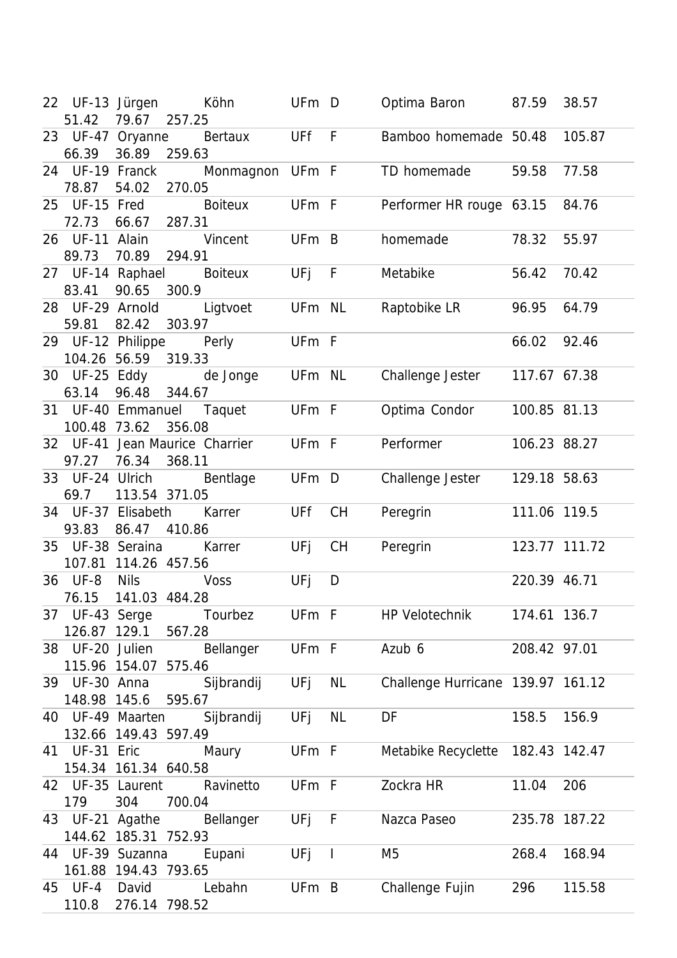| 22 UF-13 Jürgen<br>51.42      | 79.67<br>257.25                                   | Köhn            | UFm D  |                | Optima Baron 87.59                |               | 38.57  |
|-------------------------------|---------------------------------------------------|-----------------|--------|----------------|-----------------------------------|---------------|--------|
| 66.39                         | 23 UF-47 Oryanne<br>36.89<br>259.63               | Bertaux         | UFf F  |                | Bamboo homemade 50.48             |               | 105.87 |
| 24 UF-19 Franck<br>78.87      | 54.02<br>270.05                                   | Monmagnon UFm F |        |                | TD homemade                       | 59.58         | 77.58  |
| 25 UF-15 Fred<br>72.73        | 66.67<br>287.31                                   | <b>Boiteux</b>  | UFm F  |                | Performer HR rouge 63.15          |               | 84.76  |
| 26 UF-11 Alain<br>89.73       | 70.89<br>294.91                                   | Vincent         | UFm B  |                | homemade                          | 78.32         | 55.97  |
| 83.41                         | 27 UF-14 Raphael<br>90.65<br>300.9                | <b>Boiteux</b>  | UFj F  |                | Metabike                          | 56.42         | 70.42  |
| 28 UF-29 Arnold<br>59.81      | 82.42<br>303.97                                   | Ligtvoet        | UFm NL |                | Raptobike LR                      | 96.95         | 64.79  |
|                               | 29 UF-12 Philippe Perly<br>104.26 56.59 319.33    |                 | UFm F  |                |                                   | 66.02         | 92.46  |
| 63.14                         | 30 UF-25 Eddy<br>96.48<br>344.67                  | de Jonge        | UFm NL |                | Challenge Jester                  | 117.67 67.38  |        |
| 100.48 73.62                  | 31 UF-40 Emmanuel Taquet<br>356.08                |                 | UFm F  |                | Optima Condor                     | 100.85 81.13  |        |
| 97.27                         | 32 UF-41 Jean Maurice Charrier<br>76.34<br>368.11 |                 | UFm F  |                | Performer                         | 106.23 88.27  |        |
| 69.7                          | 33 UF-24 Ulrich Bentlage<br>113.54 371.05         |                 | UFm D  |                | Challenge Jester                  | 129.18 58.63  |        |
| 93.83                         | 34 UF-37 Elisabeth<br>86.47<br>410.86             | Karrer          | UFf    | <b>CH</b>      | Peregrin                          | 111.06 119.5  |        |
|                               | 35 UF-38 Seraina<br>107.81 114.26 457.56          | Karrer          | UFj    | <b>CH</b>      | Peregrin                          | 123.77 111.72 |        |
| 36 UF-8<br>76.15              | <b>Nils</b><br>141.03 484.28                      | <b>Voss</b>     | UFj    | D              |                                   | 220.39 46.71  |        |
|                               | 37 UF-43 Serge Tourbez<br>126.87 129.1<br>567.28  |                 | UFm F  |                | HP Velotechnik                    | 174.61 136.7  |        |
| 38 UF-20 Julien               | 115.96 154.07<br>575.46                           | Bellanger       | UFm F  |                | Azub 6                            | 208.42 97.01  |        |
| 39 UF-30 Anna<br>148.98 145.6 | 595.67                                            | Sijbrandij      | UFj    | NL             | Challenge Hurricane 139.97 161.12 |               |        |
|                               | 40 UF-49 Maarten<br>132.66 149.43 597.49          | Sijbrandij      | UFj    | <b>NL</b>      | DF                                | 158.5         | 156.9  |
| 41 UF-31 Eric                 | 154.34 161.34 640.58                              | Maury           | UFm F  |                | Metabike Recyclette 182.43 142.47 |               |        |
| 179                           | 42 UF-35 Laurent<br>304<br>700.04                 | Ravinetto       | UFm F  |                | Zockra HR                         | 11.04         | 206    |
| 43 UF-21 Agathe               | 144.62 185.31 752.93                              | Bellanger       | UFj F  |                | Nazca Paseo                       | 235.78 187.22 |        |
|                               | 44 UF-39 Suzanna<br>161.88 194.43 793.65          | Eupani          | UFj    | $\blacksquare$ | M5                                | 268.4         | 168.94 |
| 45 UF-4<br>110.8              | David<br>276.14 798.52                            | Lebahn          | UFm B  |                | Challenge Fujin                   | 296           | 115.58 |